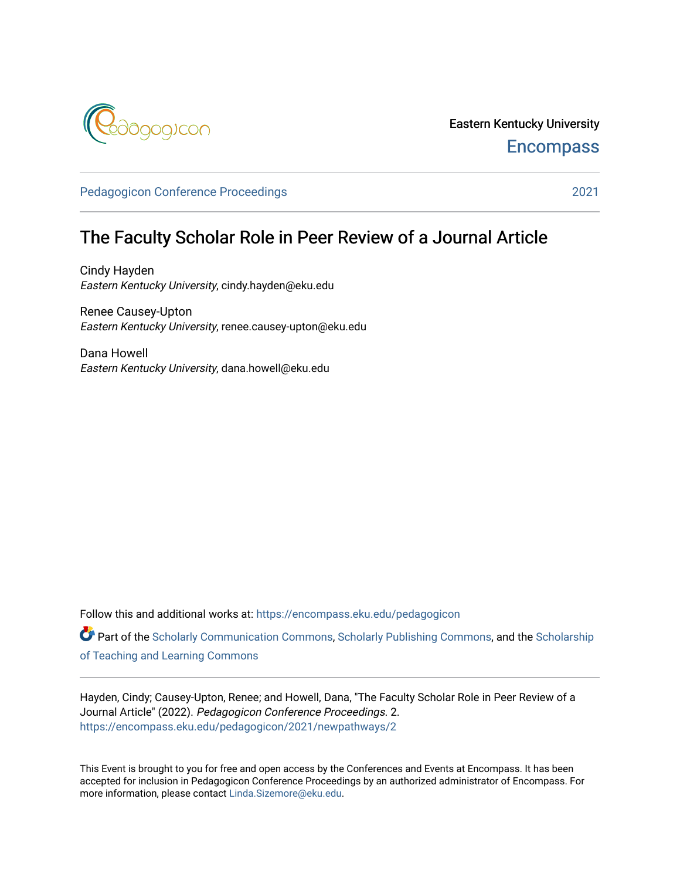

Eastern Kentucky University **Encompass** 

[Pedagogicon Conference Proceedings](https://encompass.eku.edu/pedagogicon) [2021](https://encompass.eku.edu/pedagogicon/2021) 

## The Faculty Scholar Role in Peer Review of a Journal Article

Cindy Hayden Eastern Kentucky University, cindy.hayden@eku.edu

Renee Causey-Upton Eastern Kentucky University, renee.causey-upton@eku.edu

Dana Howell Eastern Kentucky University, dana.howell@eku.edu

Follow this and additional works at: [https://encompass.eku.edu/pedagogicon](https://encompass.eku.edu/pedagogicon?utm_source=encompass.eku.edu%2Fpedagogicon%2F2021%2Fnewpathways%2F2&utm_medium=PDF&utm_campaign=PDFCoverPages) 

Part of the [Scholarly Communication Commons,](http://network.bepress.com/hgg/discipline/1272?utm_source=encompass.eku.edu%2Fpedagogicon%2F2021%2Fnewpathways%2F2&utm_medium=PDF&utm_campaign=PDFCoverPages) [Scholarly Publishing Commons,](http://network.bepress.com/hgg/discipline/1273?utm_source=encompass.eku.edu%2Fpedagogicon%2F2021%2Fnewpathways%2F2&utm_medium=PDF&utm_campaign=PDFCoverPages) and the [Scholarship](http://network.bepress.com/hgg/discipline/1328?utm_source=encompass.eku.edu%2Fpedagogicon%2F2021%2Fnewpathways%2F2&utm_medium=PDF&utm_campaign=PDFCoverPages) [of Teaching and Learning Commons](http://network.bepress.com/hgg/discipline/1328?utm_source=encompass.eku.edu%2Fpedagogicon%2F2021%2Fnewpathways%2F2&utm_medium=PDF&utm_campaign=PDFCoverPages) 

Hayden, Cindy; Causey-Upton, Renee; and Howell, Dana, "The Faculty Scholar Role in Peer Review of a Journal Article" (2022). Pedagogicon Conference Proceedings. 2. [https://encompass.eku.edu/pedagogicon/2021/newpathways/2](https://encompass.eku.edu/pedagogicon/2021/newpathways/2?utm_source=encompass.eku.edu%2Fpedagogicon%2F2021%2Fnewpathways%2F2&utm_medium=PDF&utm_campaign=PDFCoverPages)

This Event is brought to you for free and open access by the Conferences and Events at Encompass. It has been accepted for inclusion in Pedagogicon Conference Proceedings by an authorized administrator of Encompass. For more information, please contact [Linda.Sizemore@eku.edu.](mailto:Linda.Sizemore@eku.edu)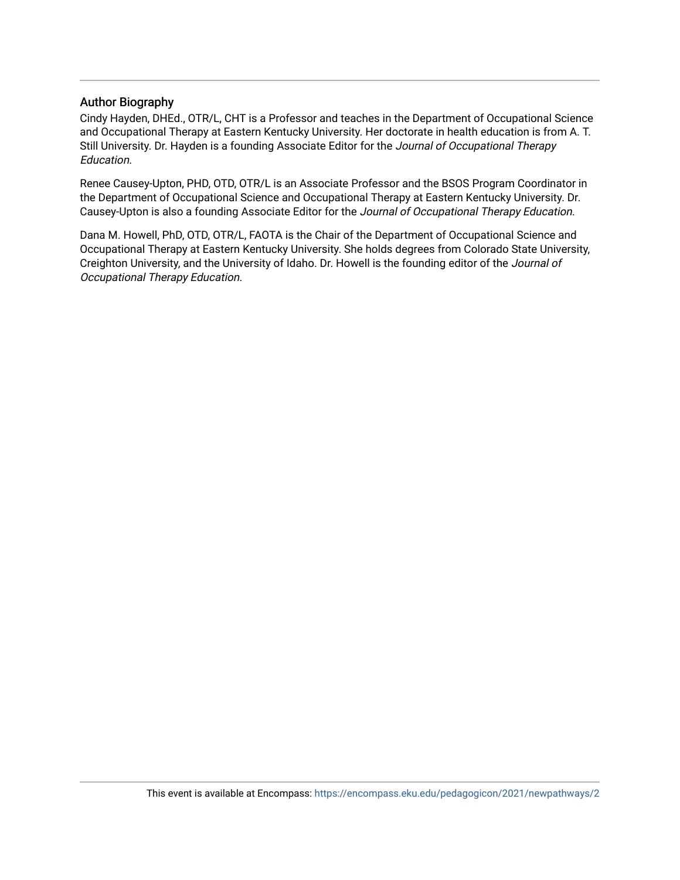#### Author Biography

Cindy Hayden, DHEd., OTR/L, CHT is a Professor and teaches in the Department of Occupational Science and Occupational Therapy at Eastern Kentucky University. Her doctorate in health education is from A. T. Still University. Dr. Hayden is a founding Associate Editor for the Journal of Occupational Therapy Education.

Renee Causey-Upton, PHD, OTD, OTR/L is an Associate Professor and the BSOS Program Coordinator in the Department of Occupational Science and Occupational Therapy at Eastern Kentucky University. Dr. Causey-Upton is also a founding Associate Editor for the Journal of Occupational Therapy Education.

Dana M. Howell, PhD, OTD, OTR/L, FAOTA is the Chair of the Department of Occupational Science and Occupational Therapy at Eastern Kentucky University. She holds degrees from Colorado State University, Creighton University, and the University of Idaho. Dr. Howell is the founding editor of the Journal of Occupational Therapy Education.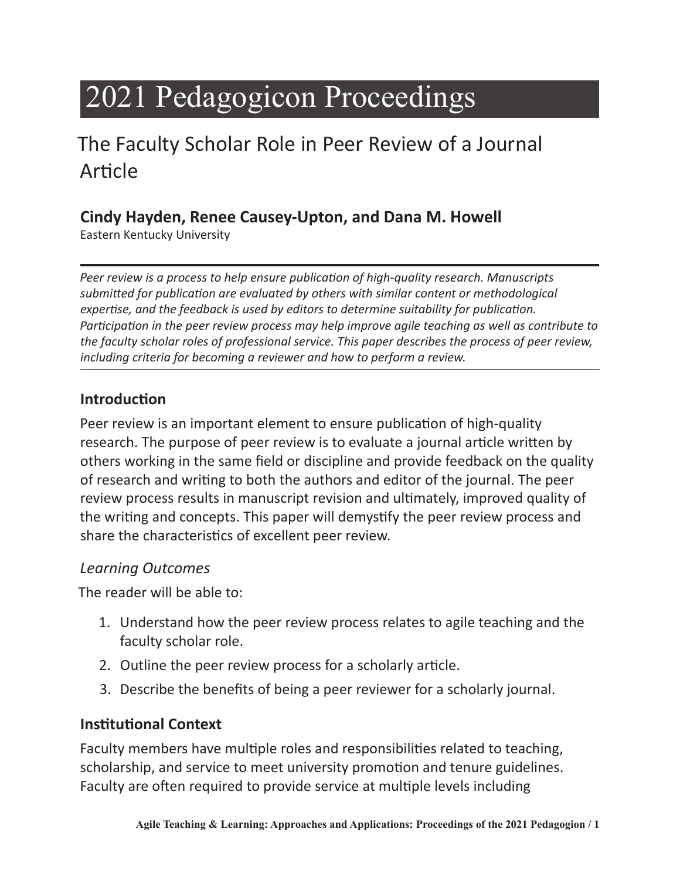# 2021 Pedagogicon Proceedings

# The Faculty Scholar Role in Peer Review of a Journal Article

#### **Cindy Hayden, Renee Causey-Upton, and Dana M. Howell**

Eastern Kentucky University

*Peer review is a process to help ensure publication of high-quality research. Manuscripts submitted for publication are evaluated by others with similar content or methodological expertise, and the feedback is used by editors to determine suitability for publication. Participation in the peer review process may help improve agile teaching as well as contribute to the faculty scholar roles of professional service. This paper describes the process of peer review, including criteria for becoming a reviewer and how to perform a review.* 

#### **Introduction**

Peer review is an important element to ensure publication of high-quality research. The purpose of peer review is to evaluate a journal article written by others working in the same field or discipline and provide feedback on the quality of research and writing to both the authors and editor of the journal. The peer review process results in manuscript revision and ultimately, improved quality of the writing and concepts. This paper will demystify the peer review process and share the characteristics of excellent peer review.

#### *Learning Outcomes*

The reader will be able to:

- 1. Understand how the peer review process relates to agile teaching and the faculty scholar role.
- 2. Outline the peer review process for a scholarly article.
- 3. Describe the benefits of being a peer reviewer for a scholarly journal.

#### **Institutional Context**

Faculty members have multiple roles and responsibilities related to teaching, scholarship, and service to meet university promotion and tenure guidelines. Faculty are often required to provide service at multiple levels including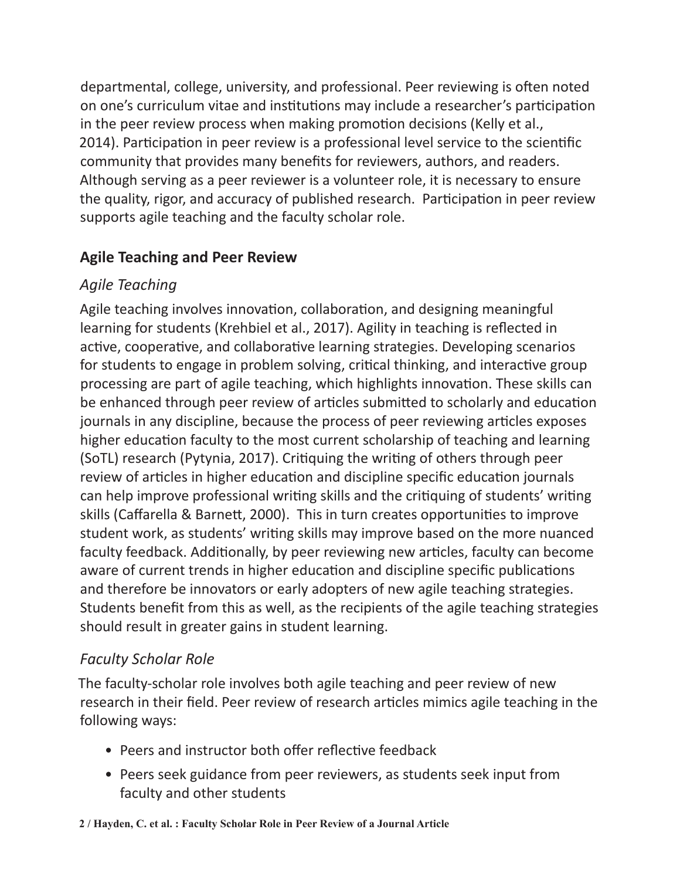departmental, college, university, and professional. Peer reviewing is often noted on one's curriculum vitae and institutions may include a researcher's participation in the peer review process when making promotion decisions (Kelly et al., 2014). Participation in peer review is a professional level service to the scientific community that provides many benefits for reviewers, authors, and readers. Although serving as a peer reviewer is a volunteer role, it is necessary to ensure the quality, rigor, and accuracy of published research. Participation in peer review supports agile teaching and the faculty scholar role.

#### **Agile Teaching and Peer Review**

#### *Agile Teaching*

Agile teaching involves innovation, collaboration, and designing meaningful learning for students (Krehbiel et al., 2017). Agility in teaching is reflected in active, cooperative, and collaborative learning strategies. Developing scenarios for students to engage in problem solving, critical thinking, and interactive group processing are part of agile teaching, which highlights innovation. These skills can be enhanced through peer review of articles submitted to scholarly and education journals in any discipline, because the process of peer reviewing articles exposes higher education faculty to the most current scholarship of teaching and learning (SoTL) research (Pytynia, 2017). Critiquing the writing of others through peer review of articles in higher education and discipline specific education journals can help improve professional writing skills and the critiquing of students' writing skills (Caffarella & Barnett, 2000). This in turn creates opportunities to improve student work, as students' writing skills may improve based on the more nuanced faculty feedback. Additionally, by peer reviewing new articles, faculty can become aware of current trends in higher education and discipline specific publications and therefore be innovators or early adopters of new agile teaching strategies. Students benefit from this as well, as the recipients of the agile teaching strategies should result in greater gains in student learning.

#### *Faculty Scholar Role*

The faculty-scholar role involves both agile teaching and peer review of new research in their field. Peer review of research articles mimics agile teaching in the following ways:

- Peers and instructor both offer reflective feedback
- Peers seek guidance from peer reviewers, as students seek input from faculty and other students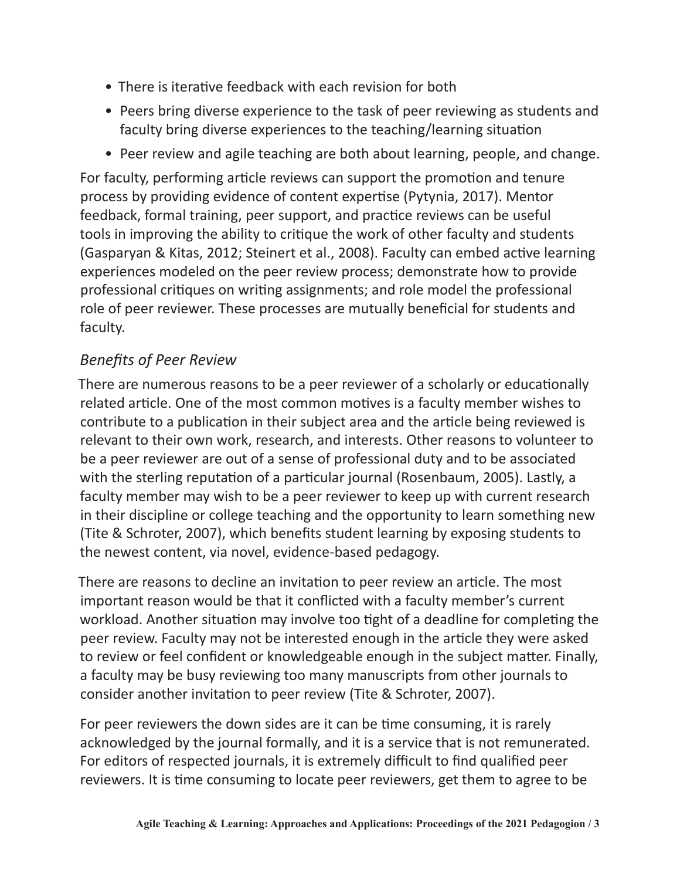- There is iterative feedback with each revision for both
- Peers bring diverse experience to the task of peer reviewing as students and faculty bring diverse experiences to the teaching/learning situation
- Peer review and agile teaching are both about learning, people, and change.

For faculty, performing article reviews can support the promotion and tenure process by providing evidence of content expertise (Pytynia, 2017). Mentor feedback, formal training, peer support, and practice reviews can be useful tools in improving the ability to critique the work of other faculty and students (Gasparyan & Kitas, 2012; Steinert et al., 2008). Faculty can embed active learning experiences modeled on the peer review process; demonstrate how to provide professional critiques on writing assignments; and role model the professional role of peer reviewer. These processes are mutually beneficial for students and faculty.

### *Benefits of Peer Review*

There are numerous reasons to be a peer reviewer of a scholarly or educationally related article. One of the most common motives is a faculty member wishes to contribute to a publication in their subject area and the article being reviewed is relevant to their own work, research, and interests. Other reasons to volunteer to be a peer reviewer are out of a sense of professional duty and to be associated with the sterling reputation of a particular journal (Rosenbaum, 2005). Lastly, a faculty member may wish to be a peer reviewer to keep up with current research in their discipline or college teaching and the opportunity to learn something new (Tite & Schroter, 2007), which benefits student learning by exposing students to the newest content, via novel, evidence-based pedagogy.

There are reasons to decline an invitation to peer review an article. The most important reason would be that it conflicted with a faculty member's current workload. Another situation may involve too tight of a deadline for completing the peer review. Faculty may not be interested enough in the article they were asked to review or feel confident or knowledgeable enough in the subject matter. Finally, a faculty may be busy reviewing too many manuscripts from other journals to consider another invitation to peer review (Tite & Schroter, 2007).

For peer reviewers the down sides are it can be time consuming, it is rarely acknowledged by the journal formally, and it is a service that is not remunerated. For editors of respected journals, it is extremely difficult to find qualified peer reviewers. It is time consuming to locate peer reviewers, get them to agree to be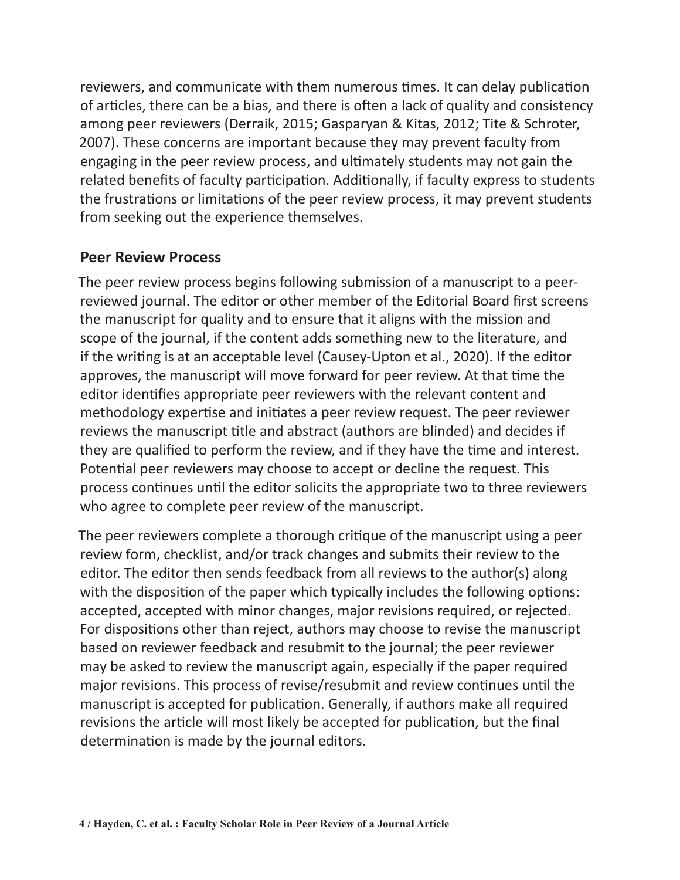reviewers, and communicate with them numerous times. It can delay publication of articles, there can be a bias, and there is often a lack of quality and consistency among peer reviewers (Derraik, 2015; Gasparyan & Kitas, 2012; Tite & Schroter, 2007). These concerns are important because they may prevent faculty from engaging in the peer review process, and ultimately students may not gain the related benefits of faculty participation. Additionally, if faculty express to students the frustrations or limitations of the peer review process, it may prevent students from seeking out the experience themselves.

#### **Peer Review Process**

The peer review process begins following submission of a manuscript to a peerreviewed journal. The editor or other member of the Editorial Board first screens the manuscript for quality and to ensure that it aligns with the mission and scope of the journal, if the content adds something new to the literature, and if the writing is at an acceptable level (Causey-Upton et al., 2020). If the editor approves, the manuscript will move forward for peer review. At that time the editor identifies appropriate peer reviewers with the relevant content and methodology expertise and initiates a peer review request. The peer reviewer reviews the manuscript title and abstract (authors are blinded) and decides if they are qualified to perform the review, and if they have the time and interest. Potential peer reviewers may choose to accept or decline the request. This process continues until the editor solicits the appropriate two to three reviewers who agree to complete peer review of the manuscript.

The peer reviewers complete a thorough critique of the manuscript using a peer review form, checklist, and/or track changes and submits their review to the editor. The editor then sends feedback from all reviews to the author(s) along with the disposition of the paper which typically includes the following options: accepted, accepted with minor changes, major revisions required, or rejected. For dispositions other than reject, authors may choose to revise the manuscript based on reviewer feedback and resubmit to the journal; the peer reviewer may be asked to review the manuscript again, especially if the paper required major revisions. This process of revise/resubmit and review continues until the manuscript is accepted for publication. Generally, if authors make all required revisions the article will most likely be accepted for publication, but the final determination is made by the journal editors.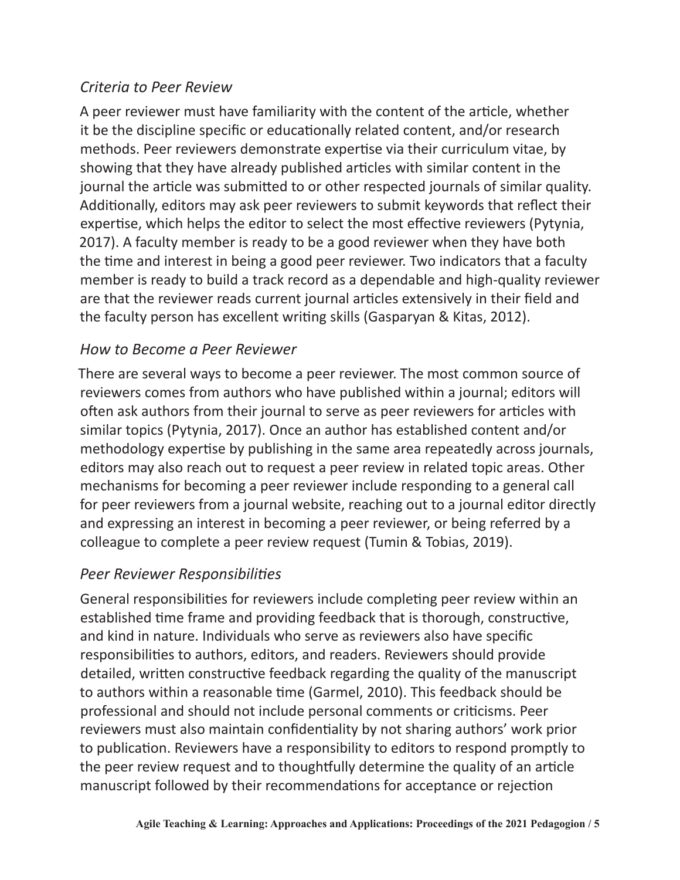#### *Criteria to Peer Review*

A peer reviewer must have familiarity with the content of the article, whether it be the discipline specific or educationally related content, and/or research methods. Peer reviewers demonstrate expertise via their curriculum vitae, by showing that they have already published articles with similar content in the journal the article was submitted to or other respected journals of similar quality. Additionally, editors may ask peer reviewers to submit keywords that reflect their expertise, which helps the editor to select the most effective reviewers (Pytynia, 2017). A faculty member is ready to be a good reviewer when they have both the time and interest in being a good peer reviewer. Two indicators that a faculty member is ready to build a track record as a dependable and high-quality reviewer are that the reviewer reads current journal articles extensively in their field and the faculty person has excellent writing skills (Gasparyan & Kitas, 2012).

#### *How to Become a Peer Reviewer*

There are several ways to become a peer reviewer. The most common source of reviewers comes from authors who have published within a journal; editors will often ask authors from their journal to serve as peer reviewers for articles with similar topics (Pytynia, 2017). Once an author has established content and/or methodology expertise by publishing in the same area repeatedly across journals, editors may also reach out to request a peer review in related topic areas. Other mechanisms for becoming a peer reviewer include responding to a general call for peer reviewers from a journal website, reaching out to a journal editor directly and expressing an interest in becoming a peer reviewer, or being referred by a colleague to complete a peer review request (Tumin & Tobias, 2019).

#### *Peer Reviewer Responsibilities*

General responsibilities for reviewers include completing peer review within an established time frame and providing feedback that is thorough, constructive, and kind in nature. Individuals who serve as reviewers also have specific responsibilities to authors, editors, and readers. Reviewers should provide detailed, written constructive feedback regarding the quality of the manuscript to authors within a reasonable time (Garmel, 2010). This feedback should be professional and should not include personal comments or criticisms. Peer reviewers must also maintain confidentiality by not sharing authors' work prior to publication. Reviewers have a responsibility to editors to respond promptly to the peer review request and to thoughtfully determine the quality of an article manuscript followed by their recommendations for acceptance or rejection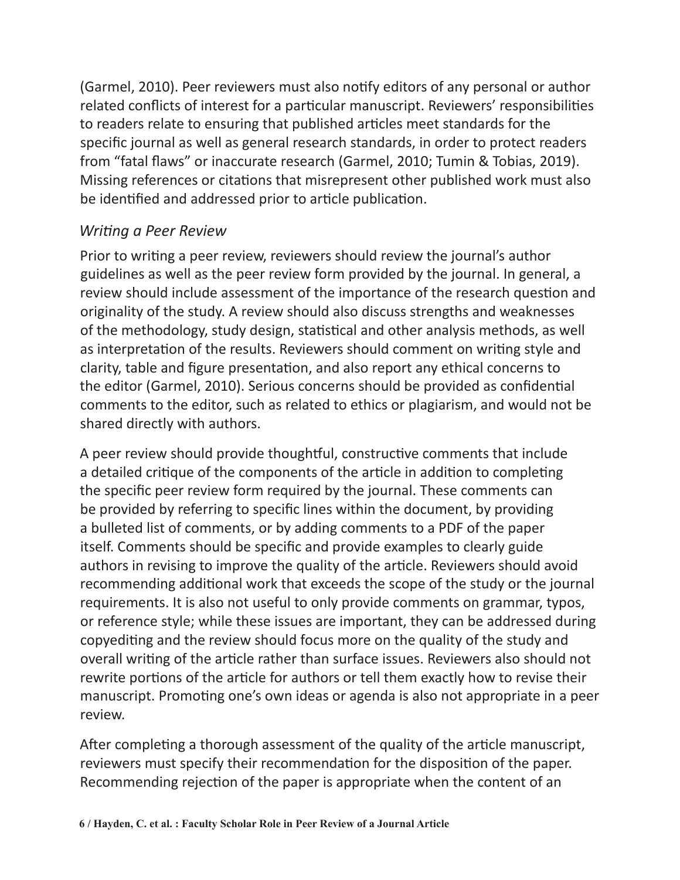(Garmel, 2010). Peer reviewers must also notify editors of any personal or author related conflicts of interest for a particular manuscript. Reviewers' responsibilities to readers relate to ensuring that published articles meet standards for the specific journal as well as general research standards, in order to protect readers from "fatal flaws" or inaccurate research (Garmel, 2010; Tumin & Tobias, 2019). Missing references or citations that misrepresent other published work must also be identified and addressed prior to article publication.

#### *Writing a Peer Review*

Prior to writing a peer review, reviewers should review the journal's author guidelines as well as the peer review form provided by the journal. In general, a review should include assessment of the importance of the research question and originality of the study. A review should also discuss strengths and weaknesses of the methodology, study design, statistical and other analysis methods, as well as interpretation of the results. Reviewers should comment on writing style and clarity, table and figure presentation, and also report any ethical concerns to the editor (Garmel, 2010). Serious concerns should be provided as confidential comments to the editor, such as related to ethics or plagiarism, and would not be shared directly with authors.

A peer review should provide thoughtful, constructive comments that include a detailed critique of the components of the article in addition to completing the specific peer review form required by the journal. These comments can be provided by referring to specific lines within the document, by providing a bulleted list of comments, or by adding comments to a PDF of the paper itself. Comments should be specific and provide examples to clearly guide authors in revising to improve the quality of the article. Reviewers should avoid recommending additional work that exceeds the scope of the study or the journal requirements. It is also not useful to only provide comments on grammar, typos, or reference style; while these issues are important, they can be addressed during copyediting and the review should focus more on the quality of the study and overall writing of the article rather than surface issues. Reviewers also should not rewrite portions of the article for authors or tell them exactly how to revise their manuscript. Promoting one's own ideas or agenda is also not appropriate in a peer review.

After completing a thorough assessment of the quality of the article manuscript, reviewers must specify their recommendation for the disposition of the paper. Recommending rejection of the paper is appropriate when the content of an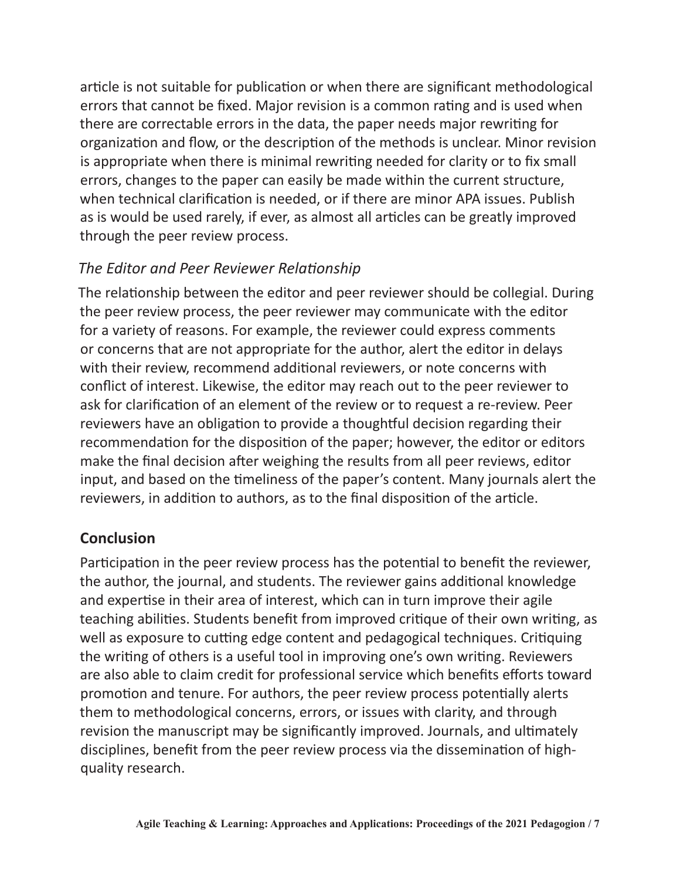article is not suitable for publication or when there are significant methodological errors that cannot be fixed. Major revision is a common rating and is used when there are correctable errors in the data, the paper needs major rewriting for organization and flow, or the description of the methods is unclear. Minor revision is appropriate when there is minimal rewriting needed for clarity or to fix small errors, changes to the paper can easily be made within the current structure, when technical clarification is needed, or if there are minor APA issues. Publish as is would be used rarely, if ever, as almost all articles can be greatly improved through the peer review process.

#### *The Editor and Peer Reviewer Relationship*

The relationship between the editor and peer reviewer should be collegial. During the peer review process, the peer reviewer may communicate with the editor for a variety of reasons. For example, the reviewer could express comments or concerns that are not appropriate for the author, alert the editor in delays with their review, recommend additional reviewers, or note concerns with conflict of interest. Likewise, the editor may reach out to the peer reviewer to ask for clarification of an element of the review or to request a re-review. Peer reviewers have an obligation to provide a thoughtful decision regarding their recommendation for the disposition of the paper; however, the editor or editors make the final decision after weighing the results from all peer reviews, editor input, and based on the timeliness of the paper's content. Many journals alert the reviewers, in addition to authors, as to the final disposition of the article.

#### **Conclusion**

Participation in the peer review process has the potential to benefit the reviewer, the author, the journal, and students. The reviewer gains additional knowledge and expertise in their area of interest, which can in turn improve their agile teaching abilities. Students benefit from improved critique of their own writing, as well as exposure to cutting edge content and pedagogical techniques. Critiquing the writing of others is a useful tool in improving one's own writing. Reviewers are also able to claim credit for professional service which benefits efforts toward promotion and tenure. For authors, the peer review process potentially alerts them to methodological concerns, errors, or issues with clarity, and through revision the manuscript may be significantly improved. Journals, and ultimately disciplines, benefit from the peer review process via the dissemination of highquality research.